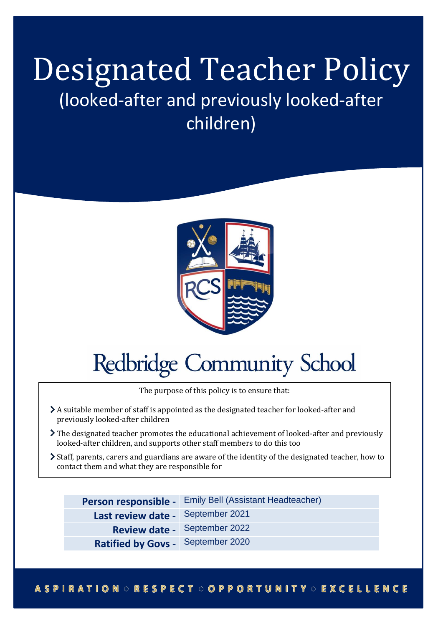## Designated Teacher Policy (looked-after and previously looked-after children)



# **Redbridge Community School**

The purpose of this policy is to ensure that:

- A suitable member of staff is appointed as the designated teacher for looked-after and previously looked-after children
- The designated teacher promotes the educational achievement of looked-after and previously looked-after children, and supports other staff members to do this too
- Staff, parents, carers and guardians are aware of the identity of the designated teacher, how to contact them and what they are responsible for

**Person responsible -** Emily Bell (Assistant Headteacher)

- **Last review date -** September 2021
	- **Review date -** September 2022
- **Ratified by Govs -** September 2020

## **ASPIRATION ORESPECT OOPPORTUNITY OEXCELLENCE**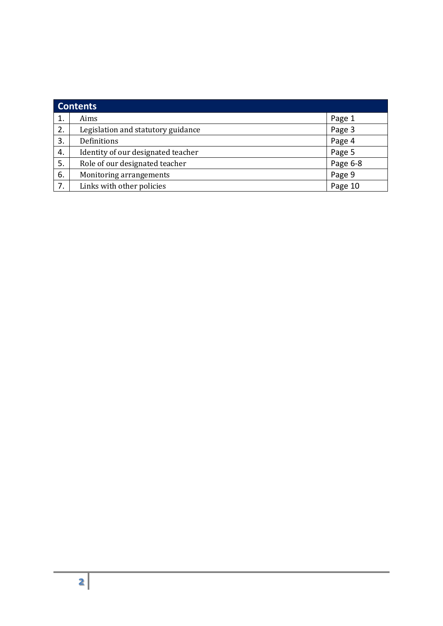| <b>Contents</b> |                                    |          |
|-----------------|------------------------------------|----------|
|                 | Aims                               | Page 1   |
| 2.              | Legislation and statutory guidance | Page 3   |
| 3.              | Definitions                        | Page 4   |
| 4.              | Identity of our designated teacher | Page 5   |
| 5.              | Role of our designated teacher     | Page 6-8 |
| 6.              | Monitoring arrangements            | Page 9   |
| 7.              | Links with other policies          | Page 10  |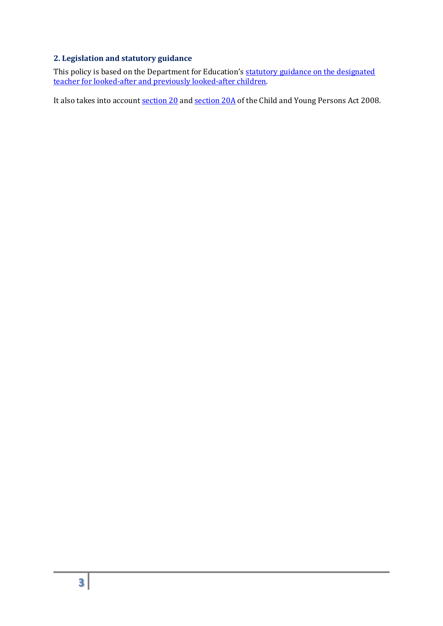## **2. Legislation and statutory guidance**

This policy is based on the Department for Education's statutory guidance on the designated [teacher for looked-after and previously looked-after children.](https://www.gov.uk/government/publications/designated-teacher-for-looked-after-children)

It also takes into account [section 20](http://www.legislation.gov.uk/ukpga/2008/23/section/20) an[d section](http://www.legislation.gov.uk/ukpga/2008/23/section/20A) 20A of the Child and Young Persons Act 2008.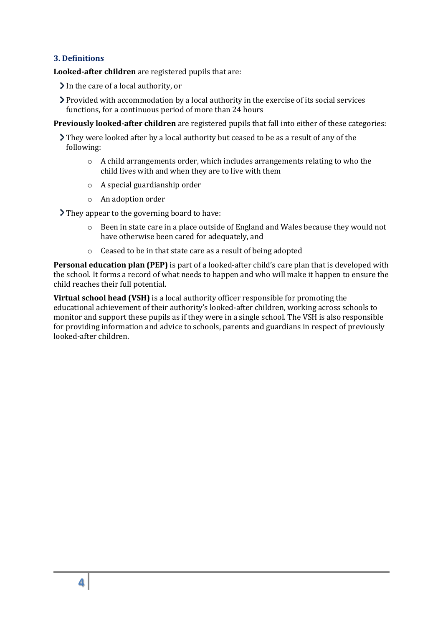#### **3. Definitions**

**Looked-after children** are registered pupils that are:

 $\sum$  In the care of a local authority, or

Provided with accommodation by a local authority in the exercise of its social services functions, for a continuous period of more than 24 hours

**Previously looked-after children** are registered pupils that fall into either of these categories:

They were looked after by a local authority but ceased to be as a result of any of the following:

- o A child arrangements order, which includes arrangements relating to who the child lives with and when they are to live with them
- o A special guardianship order
- o An adoption order

They appear to the governing board to have:

- $\circ$  Been in state care in a place outside of England and Wales because they would not have otherwise been cared for adequately, and
- o Ceased to be in that state care as a result of being adopted

**Personal education plan (PEP)** is part of a looked-after child's care plan that is developed with the school. It forms a record of what needs to happen and who will make it happen to ensure the child reaches their full potential.

**Virtual school head (VSH)** is a local authority officer responsible for promoting the educational achievement of their authority's looked-after children, working across schools to monitor and support these pupils as if they were in a single school. The VSH is also responsible for providing information and advice to schools, parents and guardians in respect of previously looked-after children.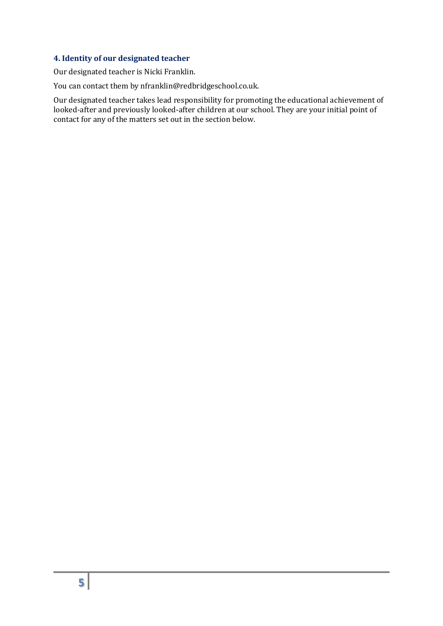## **4. Identity of our designated teacher**

Our designated teacher is Nicki Franklin.

You can contact them by nfranklin@redbridgeschool.co.uk.

Our designated teacher takes lead responsibility for promoting the educational achievement of looked-after and previously looked-after children at our school. They are your initial point of contact for any of the matters set out in the section below.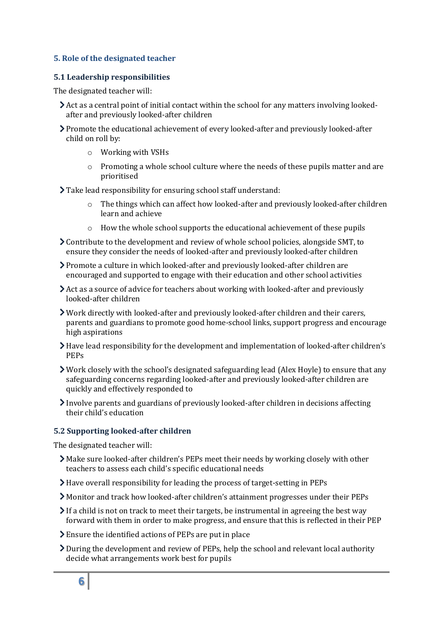#### **5. Role of the designated teacher**

#### **5.1 Leadership responsibilities**

The designated teacher will:

- Act as a central point of initial contact within the school for any matters involving lookedafter and previously looked-after children
- Promote the educational achievement of every looked-after and previously looked-after child on roll by:
	- o Working with VSHs
	- o Promoting a whole school culture where the needs of these pupils matter and are prioritised
- Take lead responsibility for ensuring school staff understand:
	- $\circ$  The things which can affect how looked-after and previously looked-after children learn and achieve
	- o How the whole school supports the educational achievement of these pupils
- $\geq$  Contribute to the development and review of whole school policies, alongside SMT, to ensure they consider the needs of looked-after and previously looked-after children
- Promote a culture in which looked-after and previously looked-after children are encouraged and supported to engage with their education and other school activities
- Act as a source of advice for teachers about working with looked-after and previously looked-after children
- Work directly with looked-after and previously looked-after children and their carers, parents and guardians to promote good home-school links, support progress and encourage high aspirations
- Have lead responsibility for the development and implementation of looked-after children's PEPs
- Work closely with the school's designated safeguarding lead (Alex Hoyle) to ensure that any safeguarding concerns regarding looked-after and previously looked-after children are quickly and effectively responded to
- Involve parents and guardians of previously looked-after children in decisions affecting their child's education

#### **5.2 Supporting looked-after children**

The designated teacher will:

- Make sure looked-after children's PEPs meet their needs by working closely with other teachers to assess each child's specific educational needs
- Have overall responsibility for leading the process of target-setting in PEPs
- Monitor and track how looked-after children's attainment progresses under their PEPs
- $\sum$  If a child is not on track to meet their targets, be instrumental in agreeing the best way forward with them in order to make progress, and ensure that this is reflected in their PEP
- Ensure the identified actions of PEPs are put in place
- During the development and review of PEPs, help the school and relevant local authority decide what arrangements work best for pupils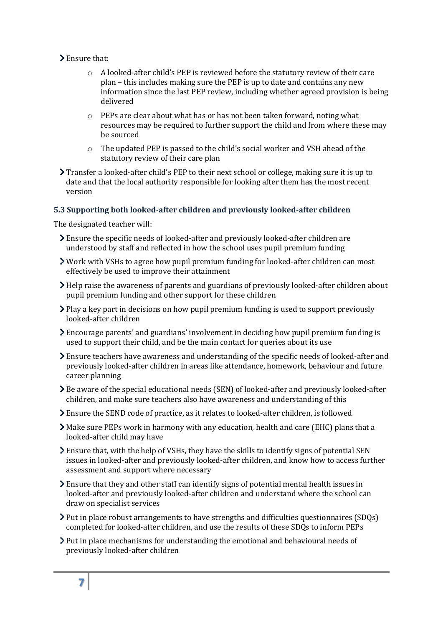## > Ensure that:

- $\circ$  A looked-after child's PEP is reviewed before the statutory review of their care plan – this includes making sure the PEP is up to date and contains any new information since the last PEP review, including whether agreed provision is being delivered
- o PEPs are clear about what has or has not been taken forward, noting what resources may be required to further support the child and from where these may be sourced
- o The updated PEP is passed to the child's social worker and VSH ahead of the statutory review of their care plan
- Transfer a looked-after child's PEP to their next school or college, making sure it is up to date and that the local authority responsible for looking after them has the most recent version

## **5.3 Supporting both looked-after children and previously looked-after children**

The designated teacher will:

- Ensure the specific needs of looked-after and previously looked-after children are understood by staff and reflected in how the school uses pupil premium funding
- Work with VSHs to agree how pupil premium funding for looked-after children can most effectively be used to improve their attainment
- Help raise the awareness of parents and guardians of previously looked-after children about pupil premium funding and other support for these children
- $\sum$  Play a key part in decisions on how pupil premium funding is used to support previously looked-after children
- Encourage parents' and guardians' involvement in deciding how pupil premium funding is used to support their child, and be the main contact for queries about its use
- Ensure teachers have awareness and understanding of the specific needs of looked-after and previously looked-after children in areas like attendance, homework, behaviour and future career planning
- Be aware of the special educational needs (SEN) of looked-after and previously looked-after children, and make sure teachers also have awareness and understanding of this
- Ensure the [SEND code of practice,](https://www.gov.uk/government/publications/send-code-of-practice-0-to-25) as it relates to looked-after children, is followed
- Make sure PEPs work in harmony with any education, health and care (EHC) plans that a looked-after child may have
- Ensure that, with the help of VSHs, they have the skills to identify signs of potential SEN issues in looked-after and previously looked-after children, and know how to access further assessment and support where necessary
- Ensure that they and other staff can identify signs of potential mental health issues in looked-after and previously looked-after children and understand where the school can draw on specialist services
- Put in place robust arrangements to have strengths and difficulties questionnaires (SDQs) completed for looked-after children, and use the results of these SDQs to inform PEPs
- Put in place mechanisms for understanding the emotional and behavioural needs of previously looked-after children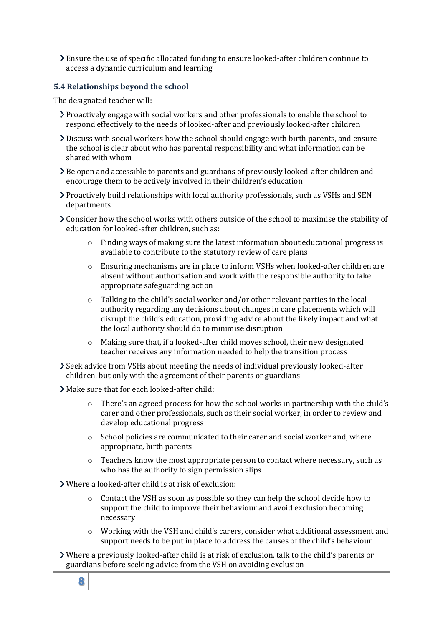Ensure the use of specific allocated funding to ensure looked-after children continue to access a dynamic curriculum and learning

#### **5.4 Relationships beyond the school**

The designated teacher will:

- Proactively engage with social workers and other professionals to enable the school to respond effectively to the needs of looked-after and previously looked-after children
- Discuss with social workers how the school should engage with birth parents, and ensure the school is clear about who has parental responsibility and what information can be shared with whom
- Be open and accessible to parents and guardians of previously looked-after children and encourage them to be actively involved in their children's education
- Proactively build relationships with local authority professionals, such as VSHs and SEN departments
- Consider how the school works with others outside of the school to maximise the stability of education for looked-after children, such as:
	- $\circ$  Finding ways of making sure the latest information about educational progress is available to contribute to the statutory review of care plans
	- $\circ$  Ensuring mechanisms are in place to inform VSHs when looked-after children are absent without authorisation and work with the responsible authority to take appropriate safeguarding action
	- o Talking to the child's social worker and/or other relevant parties in the local authority regarding any decisions about changes in care placements which will disrupt the child's education, providing advice about the likely impact and what the local authority should do to minimise disruption
	- o Making sure that, if a looked-after child moves school, their new designated teacher receives any information needed to help the transition process
- Seek advice from VSHs about meeting the needs of individual previously looked-after children, but only with the agreement of their parents or guardians
- Make sure that for each looked-after child:
	- o There's an agreed process for how the school works in partnership with the child's carer and other professionals, such as their social worker, in order to review and develop educational progress
	- $\circ$  School policies are communicated to their carer and social worker and, where appropriate, birth parents
	- $\circ$  Teachers know the most appropriate person to contact where necessary, such as who has the authority to sign permission slips
- Where a looked-after child is at risk of exclusion:
	- $\circ$  Contact the VSH as soon as possible so they can help the school decide how to support the child to improve their behaviour and avoid exclusion becoming necessary
	- $\circ$  Working with the VSH and child's carers, consider what additional assessment and support needs to be put in place to address the causes of the child's behaviour
- Where a previously looked-after child is at risk of exclusion, talk to the child's parents or guardians before seeking advice from the VSH on avoiding exclusion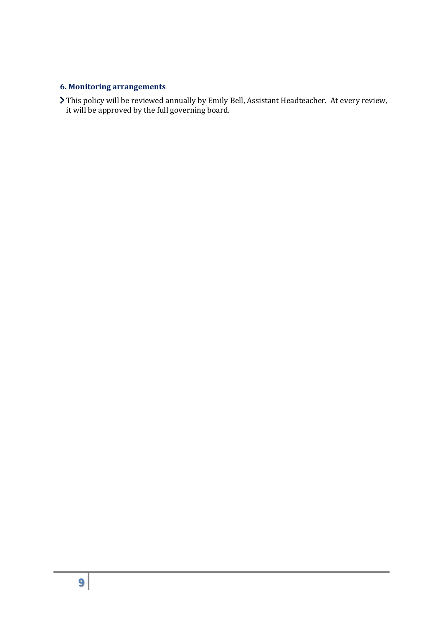## **6. Monitoring arrangements**

This policy will be reviewed annually by Emily Bell, Assistant Headteacher. At every review, it will be approved by the full governing board.